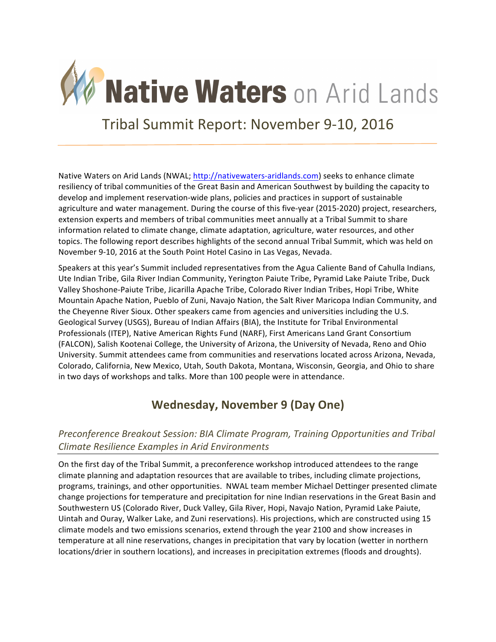

Tribal Summit Report: November 9-10, 2016

Native Waters on Arid Lands (NWAL; http://nativewaters-aridlands.com) seeks to enhance climate resiliency of tribal communities of the Great Basin and American Southwest by building the capacity to develop and implement reservation-wide plans, policies and practices in support of sustainable agriculture and water management. During the course of this five-year (2015-2020) project, researchers, extension experts and members of tribal communities meet annually at a Tribal Summit to share information related to climate change, climate adaptation, agriculture, water resources, and other topics. The following report describes highlights of the second annual Tribal Summit, which was held on November 9-10, 2016 at the South Point Hotel Casino in Las Vegas, Nevada.

Speakers at this year's Summit included representatives from the Agua Caliente Band of Cahulla Indians, Ute Indian Tribe, Gila River Indian Community, Yerington Paiute Tribe, Pyramid Lake Paiute Tribe, Duck Valley Shoshone-Paiute Tribe, Jicarilla Apache Tribe, Colorado River Indian Tribes, Hopi Tribe, White Mountain Apache Nation, Pueblo of Zuni, Navajo Nation, the Salt River Maricopa Indian Community, and the Cheyenne River Sioux. Other speakers came from agencies and universities including the U.S. Geological Survey (USGS), Bureau of Indian Affairs (BIA), the Institute for Tribal Environmental Professionals (ITEP), Native American Rights Fund (NARF), First Americans Land Grant Consortium (FALCON), Salish Kootenai College, the University of Arizona, the University of Nevada, Reno and Ohio University. Summit attendees came from communities and reservations located across Arizona, Nevada, Colorado, California, New Mexico, Utah, South Dakota, Montana, Wisconsin, Georgia, and Ohio to share in two days of workshops and talks. More than 100 people were in attendance.

## **Wednesday, November 9 (Day One)**

## *Preconference Breakout Session: BIA Climate Program, Training Opportunities and Tribal Climate Resilience Examples in Arid Environments*

On the first day of the Tribal Summit, a preconference workshop introduced attendees to the range climate planning and adaptation resources that are available to tribes, including climate projections, programs, trainings, and other opportunities. NWAL team member Michael Dettinger presented climate change projections for temperature and precipitation for nine Indian reservations in the Great Basin and Southwestern US (Colorado River, Duck Valley, Gila River, Hopi, Navajo Nation, Pyramid Lake Paiute, Uintah and Ouray, Walker Lake, and Zuni reservations). His projections, which are constructed using 15 climate models and two emissions scenarios, extend through the year 2100 and show increases in temperature at all nine reservations, changes in precipitation that vary by location (wetter in northern locations/drier in southern locations), and increases in precipitation extremes (floods and droughts).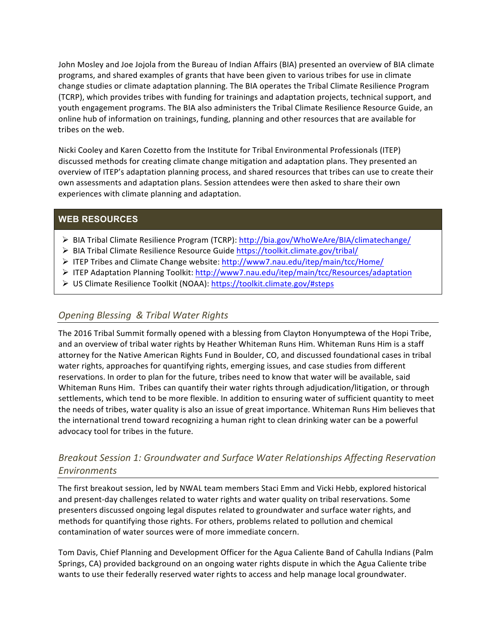John Mosley and Joe Jojola from the Bureau of Indian Affairs (BIA) presented an overview of BIA climate programs, and shared examples of grants that have been given to various tribes for use in climate change studies or climate adaptation planning. The BIA operates the Tribal Climate Resilience Program (TCRP), which provides tribes with funding for trainings and adaptation projects, technical support, and youth engagement programs. The BIA also administers the Tribal Climate Resilience Resource Guide, an online hub of information on trainings, funding, planning and other resources that are available for tribes on the web.

Nicki Cooley and Karen Cozetto from the Institute for Tribal Environmental Professionals (ITEP) discussed methods for creating climate change mitigation and adaptation plans. They presented an overview of ITEP's adaptation planning process, and shared resources that tribes can use to create their own assessments and adaptation plans. Session attendees were then asked to share their own experiences with climate planning and adaptation.

#### **WEB RESOURCES**

- ▶ BIA Tribal Climate Resilience Program (TCRP): http://bia.gov/WhoWeAre/BIA/climatechange/
- > BIA Tribal Climate Resilience Resource Guide https://toolkit.climate.gov/tribal/
- > ITEP Tribes and Climate Change website: http://www7.nau.edu/itep/main/tcc/Home/
- ▶ ITEP Adaptation Planning Toolkit: http://www7.nau.edu/itep/main/tcc/Resources/adaptation
- > US Climate Resilience Toolkit (NOAA): https://toolkit.climate.gov/#steps

### **Opening Blessing & Tribal Water Rights**

The 2016 Tribal Summit formally opened with a blessing from Clayton Honyumptewa of the Hopi Tribe, and an overview of tribal water rights by Heather Whiteman Runs Him. Whiteman Runs Him is a staff attorney for the Native American Rights Fund in Boulder, CO, and discussed foundational cases in tribal water rights, approaches for quantifying rights, emerging issues, and case studies from different reservations. In order to plan for the future, tribes need to know that water will be available, said Whiteman Runs Him. Tribes can quantify their water rights through adjudication/litigation, or through settlements, which tend to be more flexible. In addition to ensuring water of sufficient quantity to meet the needs of tribes, water quality is also an issue of great importance. Whiteman Runs Him believes that the international trend toward recognizing a human right to clean drinking water can be a powerful advocacy tool for tribes in the future.

## *Breakout Session 1: Groundwater and Surface Water Relationships Affecting Reservation Environments*

The first breakout session, led by NWAL team members Staci Emm and Vicki Hebb, explored historical and present-day challenges related to water rights and water quality on tribal reservations. Some presenters discussed ongoing legal disputes related to groundwater and surface water rights, and methods for quantifying those rights. For others, problems related to pollution and chemical contamination of water sources were of more immediate concern.

Tom Davis, Chief Planning and Development Officer for the Agua Caliente Band of Cahulla Indians (Palm Springs, CA) provided background on an ongoing water rights dispute in which the Agua Caliente tribe wants to use their federally reserved water rights to access and help manage local groundwater.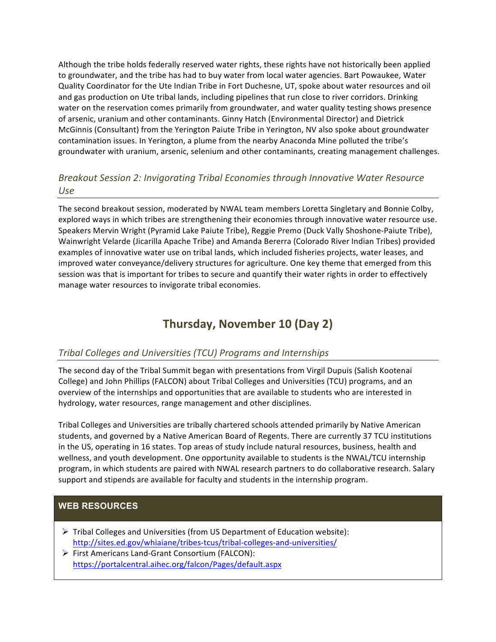Although the tribe holds federally reserved water rights, these rights have not historically been applied to groundwater, and the tribe has had to buy water from local water agencies. Bart Powaukee, Water Quality Coordinator for the Ute Indian Tribe in Fort Duchesne, UT, spoke about water resources and oil and gas production on Ute tribal lands, including pipelines that run close to river corridors. Drinking water on the reservation comes primarily from groundwater, and water quality testing shows presence of arsenic, uranium and other contaminants. Ginny Hatch (Environmental Director) and Dietrick McGinnis (Consultant) from the Yerington Paiute Tribe in Yerington, NV also spoke about groundwater contamination issues. In Yerington, a plume from the nearby Anaconda Mine polluted the tribe's groundwater with uranium, arsenic, selenium and other contaminants, creating management challenges.

## *Breakout Session 2: Invigorating Tribal Economies through Innovative Water Resource Use*

The second breakout session, moderated by NWAL team members Loretta Singletary and Bonnie Colby, explored ways in which tribes are strengthening their economies through innovative water resource use. Speakers Mervin Wright (Pyramid Lake Paiute Tribe), Reggie Premo (Duck Vally Shoshone-Paiute Tribe), Wainwright Velarde (Jicarilla Apache Tribe) and Amanda Bererra (Colorado River Indian Tribes) provided examples of innovative water use on tribal lands, which included fisheries projects, water leases, and improved water conveyance/delivery structures for agriculture. One key theme that emerged from this session was that is important for tribes to secure and quantify their water rights in order to effectively manage water resources to invigorate tribal economies.

# **Thursday, November 10 (Day 2)**

### *Tribal Colleges and Universities (TCU) Programs and Internships*

The second day of the Tribal Summit began with presentations from Virgil Dupuis (Salish Kootenai College) and John Phillips (FALCON) about Tribal Colleges and Universities (TCU) programs, and an overview of the internships and opportunities that are available to students who are interested in hydrology, water resources, range management and other disciplines.

Tribal Colleges and Universities are tribally chartered schools attended primarily by Native American students, and governed by a Native American Board of Regents. There are currently 37 TCU institutions in the US, operating in 16 states. Top areas of study include natural resources, business, health and wellness, and youth development. One opportunity available to students is the NWAL/TCU internship program, in which students are paired with NWAL research partners to do collaborative research. Salary support and stipends are available for faculty and students in the internship program.

## **WEB RESOURCES**

- $\triangleright$  Tribal Colleges and Universities (from US Department of Education website): http://sites.ed.gov/whiaiane/tribes-tcus/tribal-colleges-and-universities/
- $\triangleright$  First Americans Land-Grant Consortium (FALCON): https://portalcentral.aihec.org/falcon/Pages/default.aspx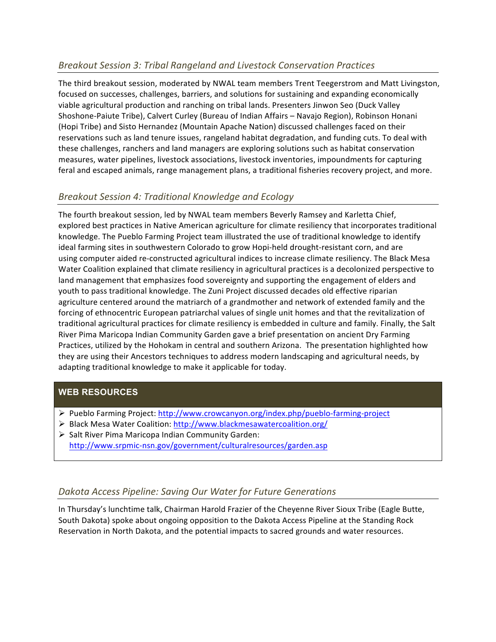## *Breakout Session 3: Tribal Rangeland and Livestock Conservation Practices*

The third breakout session, moderated by NWAL team members Trent Teegerstrom and Matt Livingston, focused on successes, challenges, barriers, and solutions for sustaining and expanding economically viable agricultural production and ranching on tribal lands. Presenters Jinwon Seo (Duck Valley Shoshone-Paiute Tribe), Calvert Curley (Bureau of Indian Affairs - Navajo Region), Robinson Honani (Hopi Tribe) and Sisto Hernandez (Mountain Apache Nation) discussed challenges faced on their reservations such as land tenure issues, rangeland habitat degradation, and funding cuts. To deal with these challenges, ranchers and land managers are exploring solutions such as habitat conservation measures, water pipelines, livestock associations, livestock inventories, impoundments for capturing feral and escaped animals, range management plans, a traditional fisheries recovery project, and more.

## *Breakout Session 4: Traditional Knowledge and Ecology*

The fourth breakout session, led by NWAL team members Beverly Ramsey and Karletta Chief, explored best practices in Native American agriculture for climate resiliency that incorporates traditional knowledge. The Pueblo Farming Project team illustrated the use of traditional knowledge to identify ideal farming sites in southwestern Colorado to grow Hopi-held drought-resistant corn, and are using computer aided re-constructed agricultural indices to increase climate resiliency. The Black Mesa Water Coalition explained that climate resiliency in agricultural practices is a decolonized perspective to land management that emphasizes food sovereignty and supporting the engagement of elders and youth to pass traditional knowledge. The Zuni Project discussed decades old effective riparian agriculture centered around the matriarch of a grandmother and network of extended family and the forcing of ethnocentric European patriarchal values of single unit homes and that the revitalization of traditional agricultural practices for climate resiliency is embedded in culture and family. Finally, the Salt River Pima Maricopa Indian Community Garden gave a brief presentation on ancient Dry Farming Practices, utilized by the Hohokam in central and southern Arizona. The presentation highlighted how they are using their Ancestors techniques to address modern landscaping and agricultural needs, by adapting traditional knowledge to make it applicable for today.

### **WEB RESOURCES**

- $\triangleright$  Pueblo Farming Project: http://www.crowcanyon.org/index.php/pueblo-farming-project
- > Black Mesa Water Coalition: http://www.blackmesawatercoalition.org/
- $\triangleright$  Salt River Pima Maricopa Indian Community Garden: http://www.srpmic-nsn.gov/government/culturalresources/garden.asp

### *Dakota Access Pipeline: Saving Our Water for Future Generations*

In Thursday's lunchtime talk, Chairman Harold Frazier of the Cheyenne River Sioux Tribe (Eagle Butte, South Dakota) spoke about ongoing opposition to the Dakota Access Pipeline at the Standing Rock Reservation in North Dakota, and the potential impacts to sacred grounds and water resources.